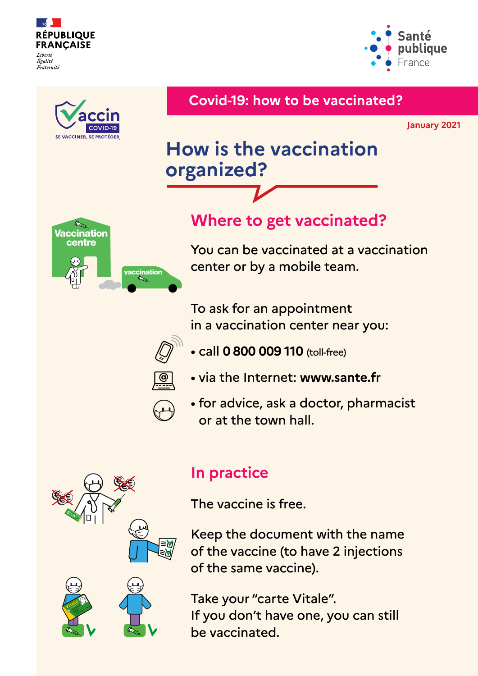





Keep the document with the name of the vaccine (to have 2 injections

of the same vaccine).



**Vaccin**

Take your "carte Vitale". If you don't have one, you can still be vaccinated.